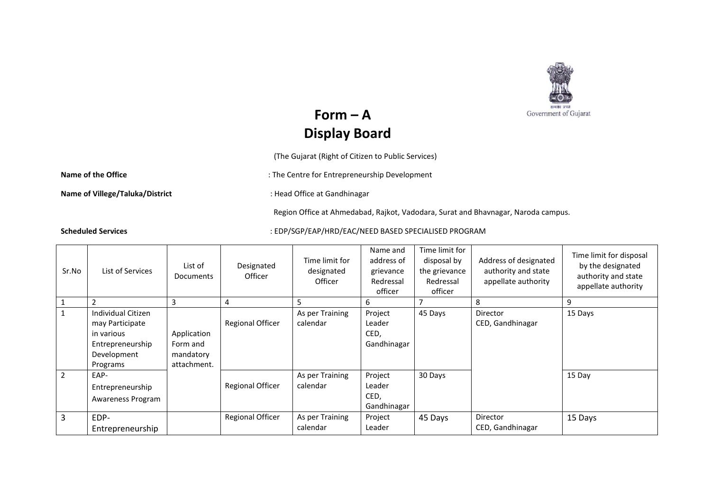

## $Form - A$ **Display Board**

(The Gujarat (Right of Citizen to Public Services)

Name of the Office **State of the Office** in the Centre for Entrepreneurship Development

**Name of Villege/Taluka/District intervalsed and State of Villege/Taluka/District intervalsed and State of Canadhinagar** 

Region Office at Ahmedabad, Rajkot, Vadodara, Surat and Bhavnagar, Naroda campus.

**Scheduled Services** : EDP/SGP/EAP/HRD/EAC/NEED BASED SPECIALISED PROGRAM

| Sr.No          | List of Services                                                                                   | List of<br><b>Documents</b>                         | Designated<br>Officer   | Time limit for<br>designated<br><b>Officer</b> | Name and<br>address of<br>grievance<br>Redressal<br>officer | Time limit for<br>disposal by<br>the grievance<br>Redressal<br>officer | Address of designated<br>authority and state<br>appellate authority | Time limit for disposal<br>by the designated<br>authority and state<br>appellate authority |
|----------------|----------------------------------------------------------------------------------------------------|-----------------------------------------------------|-------------------------|------------------------------------------------|-------------------------------------------------------------|------------------------------------------------------------------------|---------------------------------------------------------------------|--------------------------------------------------------------------------------------------|
|                | $\overline{2}$                                                                                     | 3                                                   | 4                       | 5                                              | 6                                                           |                                                                        | 8                                                                   | 9                                                                                          |
|                | Individual Citizen<br>may Participate<br>in various<br>Entrepreneurship<br>Development<br>Programs | Application<br>Form and<br>mandatory<br>attachment. | <b>Regional Officer</b> | As per Training<br>calendar                    | Project<br>Leader<br>CED,<br>Gandhinagar                    | 45 Days                                                                | Director<br>CED, Gandhinagar                                        | 15 Days                                                                                    |
| $\overline{2}$ | EAP-<br>Entrepreneurship<br>Awareness Program                                                      |                                                     | <b>Regional Officer</b> | As per Training<br>calendar                    | Project<br>Leader<br>CED,<br>Gandhinagar                    | 30 Days                                                                |                                                                     | 15 Day                                                                                     |
| 3              | EDP-<br>Entrepreneurship                                                                           |                                                     | <b>Regional Officer</b> | As per Training<br>calendar                    | Project<br>Leader                                           | 45 Days                                                                | Director<br>CED, Gandhinagar                                        | 15 Days                                                                                    |